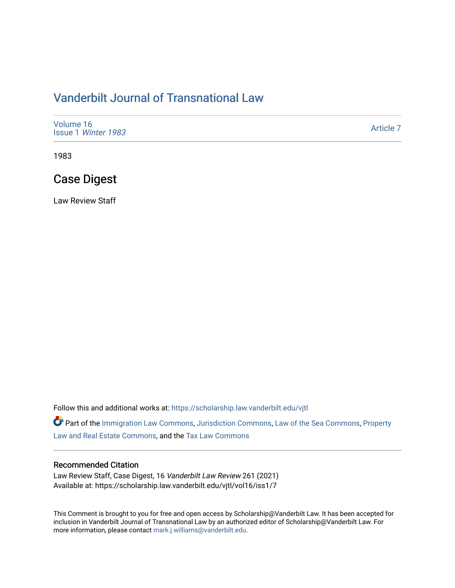## [Vanderbilt Journal of Transnational Law](https://scholarship.law.vanderbilt.edu/vjtl)

| Volume 16<br>Issue 1 Winter 1983 | Article 7 |
|----------------------------------|-----------|
|----------------------------------|-----------|

1983

## Case Digest

Law Review Staff

Follow this and additional works at: [https://scholarship.law.vanderbilt.edu/vjtl](https://scholarship.law.vanderbilt.edu/vjtl?utm_source=scholarship.law.vanderbilt.edu%2Fvjtl%2Fvol16%2Fiss1%2F7&utm_medium=PDF&utm_campaign=PDFCoverPages) 

Part of the [Immigration Law Commons](http://network.bepress.com/hgg/discipline/604?utm_source=scholarship.law.vanderbilt.edu%2Fvjtl%2Fvol16%2Fiss1%2F7&utm_medium=PDF&utm_campaign=PDFCoverPages), [Jurisdiction Commons,](http://network.bepress.com/hgg/discipline/850?utm_source=scholarship.law.vanderbilt.edu%2Fvjtl%2Fvol16%2Fiss1%2F7&utm_medium=PDF&utm_campaign=PDFCoverPages) [Law of the Sea Commons](http://network.bepress.com/hgg/discipline/855?utm_source=scholarship.law.vanderbilt.edu%2Fvjtl%2Fvol16%2Fiss1%2F7&utm_medium=PDF&utm_campaign=PDFCoverPages), [Property](http://network.bepress.com/hgg/discipline/897?utm_source=scholarship.law.vanderbilt.edu%2Fvjtl%2Fvol16%2Fiss1%2F7&utm_medium=PDF&utm_campaign=PDFCoverPages)  [Law and Real Estate Commons](http://network.bepress.com/hgg/discipline/897?utm_source=scholarship.law.vanderbilt.edu%2Fvjtl%2Fvol16%2Fiss1%2F7&utm_medium=PDF&utm_campaign=PDFCoverPages), and the [Tax Law Commons](http://network.bepress.com/hgg/discipline/898?utm_source=scholarship.law.vanderbilt.edu%2Fvjtl%2Fvol16%2Fiss1%2F7&utm_medium=PDF&utm_campaign=PDFCoverPages) 

#### Recommended Citation

Law Review Staff, Case Digest, 16 Vanderbilt Law Review 261 (2021) Available at: https://scholarship.law.vanderbilt.edu/vjtl/vol16/iss1/7

This Comment is brought to you for free and open access by Scholarship@Vanderbilt Law. It has been accepted for inclusion in Vanderbilt Journal of Transnational Law by an authorized editor of Scholarship@Vanderbilt Law. For more information, please contact [mark.j.williams@vanderbilt.edu](mailto:mark.j.williams@vanderbilt.edu).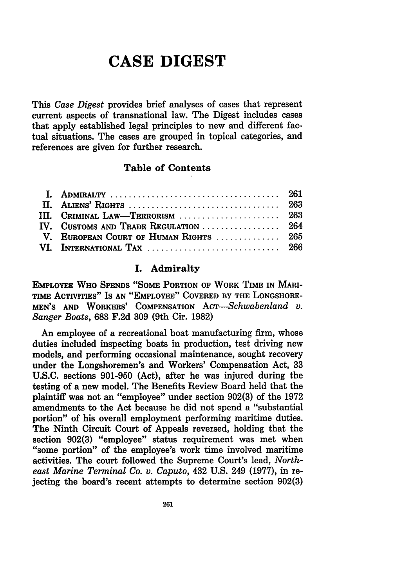# **CASE DIGEST**

This *Case Digest* provides brief analyses of cases that represent current aspects of transnational law. The Digest includes cases that apply established legal principles to new and different factual situations. The cases are grouped in topical categories, and references are given for further research.

#### Table **of Contents**

| III. CRIMINAL LAW—TERRORISM  263       |  |
|----------------------------------------|--|
| IV. CUSTOMS AND TRADE REGULATION  264  |  |
| V. EUROPEAN COURT OF HUMAN RIGHTS  265 |  |
|                                        |  |

#### **I.** Admiralty

EMPLOYEE WHO **SPENDS "SOME** PORTION OF WORK TIME IN MARI-**TIME AcTIVrTIEs"** IS **AN** "EMPLOYEE" COVERED BY **THE LONGSHORE-MEN'S AND** WORKERS' **COMPENSATION** *AcT-Schwabenland v. Sanger Boats,* **683 F.2d 309** (9th Cir. **1982)**

An employee of a recreational boat manufacturing firm, whose duties included inspecting boats in production, test driving new models, and performing occasional maintenance, sought recovery under the Longshoremen's and Workers' Compensation Act, **33 U.S.C.** sections **901-950** (Act), after he was injured during the testing of a new model. The Benefits Review Board held that the plaintiff was not an "employee" under section **902(3)** of the **1972** amendments to the Act because he did not spend a "substantial portion" of his overall employment performing maritime duties. The Ninth Circuit Court of Appeals reversed, holding that the section 902(3) "employee" status requirement was met when "some portion" of the employee's work time involved maritime activities. The court followed the Supreme Court's lead, *Northeast Marine Terminal Co. v. Caputo,* 432 U.S. 249 (1977), in rejecting the board's recent attempts to determine section 902(3)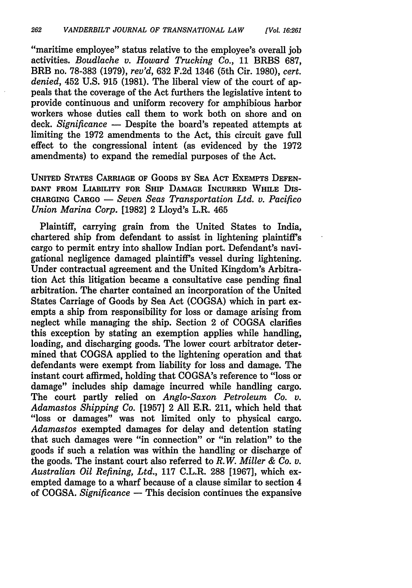"maritime employee" status relative to the employee's overall **job** activities. *Boudlache v. Howard Trucking Co.,* 11 BRBS 687, BRB no. 78-383 (1979), *rev'd,* 632 F.2d 1346 (5th Cir. 1980), *cert. denied,* 452 U.S. 915 (1981). The liberal view of the court of appeals that the coverage of the Act furthers the legislative intent to provide continuous and uniform recovery for amphibious harbor workers whose duties call them to work both on shore and on deck. *Significance* **-** Despite the board's repeated attempts at limiting the 1972 amendments to the Act, this circuit gave full effect to the congressional intent (as evidenced by the 1972 amendments) to expand the remedial purposes of the Act.

**UNITED STATES** CARRIAGE OF GOODS BY SEA **ACT** EXEMPTS **DEFEN-DANT** FROM LIABILITY FOR SHIP **DAMAGE** INCURRED WHILE DIS-**CHARGING** CARGO **-** *Seven Seas Transportation Ltd. v. Pacifico Union Marina Corp.* **[1982]** 2 Lloyd's L.R. 465

Plaintiff, carrying grain from the United States to India, chartered ship from defendant to assist in lightening plaintiff's cargo to permit entry into shallow Indian port. Defendant's navigational negligence damaged plaintiff's vessel during lightening. Under contractual agreement and the United Kingdom's Arbitration Act this litigation became a consultative case pending final arbitration. The charter contained an incorporation of the United States Carriage of Goods **by** Sea Act **(COGSA)** which in part exempts a ship from responsibility for loss or damage arising from neglect while managing the ship. Section 2 **of COGSA** clarifies this exception **by** stating an exemption applies while handling, loading, and discharging goods. The lower court arbitrator determined that **COGSA** applied to the lightening operation and that defendants were exempt from liability for loss and damage. The instant court affirmed, holding that COGSA's reference to "loss or damage" includes ship damage incurred while handling cargo. The court partly relied on *Anglo-Saxon Petroleum Co. v. Adamastos Shipping Co.* **[1957]** 2 **All** E.R. 211, which held that "loss or damages" was not limited only to physical cargo. *Adamastos* exempted damages for delay and detention stating that such damages were "in connection" or "in relation" to the goods if such a relation was within the handling or discharge of the goods. The instant court also referred to *R.W. Miller & Co. v. Australian Oil Refining, Ltd.,* **117** C.L.R. **288 [1967],** which exempted damage to a wharf because of a clause similar to section 4 of **COGSA.** *Significance* **-** This decision continues the expansive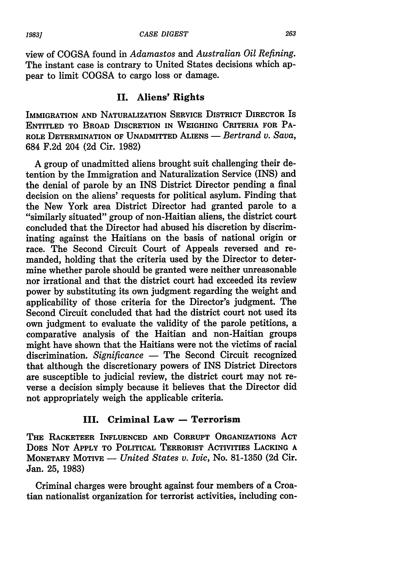view of COGSA found in *Adamastos and Australian Oil Refining.* The instant case is contrary to United States decisions which appear to limit COGSA to cargo loss or damage.

#### **II.** Aliens' Rights

IMMIGRATION **AND NATURALIZATION** SERVICE DISTRICT DIRECTOR IS **ENTITLED** TO BROAD DISCRETION IN **WEIGHING** CRITERIA FOR PA-ROLE DETERMINATION OF UNADMITTED ALIENS - *Bertrand v. Sava*, 684 F.2d 204 (2d Cir. 1982)

A group of unadmitted aliens brought suit challenging their detention by the Immigration and Naturalization Service (INS) and the denial of parole by an INS District Director pending a final decision on the aliens' requests for political asylum. Finding that the New York area District Director had granted parole to a "similarly situated" group of non-Haitian aliens, the district court concluded that the Director had abused his discretion by discriminating against the Haitians on the basis of national origin or race. The Second Circuit Court of Appeals reversed and remanded, holding that the criteria used by the Director to determine whether parole should be granted were neither unreasonable nor irrational and that the district court had exceeded its review power by substituting its own judgment regarding the weight and applicability of those criteria for the Director's judgment. The Second Circuit concluded that had the district court not used its own judgment to evaluate the validity of the parole petitions, a comparative analysis of the Haitian and non-Haitian groups might have shown that the Haitians were not the victims of racial discrimination. *Significance* - The Second Circuit recognized that although the discretionary powers of INS District Directors are susceptible to judicial review, the district court may not reverse a decision simply because it believes that the Director did not appropriately weigh the applicable criteria.

#### **III. Criminal Law - Terrorism**

THE RACKETEER **INFLUENCED AND** CORRUPT ORGANIZATIONS ACT DOES **NOT** APPLY TO POLITICAL TERRORIST ACTIVITIES **LACKING A** MONETARY MOTIVE **-** *United States v. Ivic,* No. **81-1350 (2d** Cir. Jan. **25, 1983)**

Criminal charges were brought against four members of a Croatian nationalist organization for terrorist activities, including con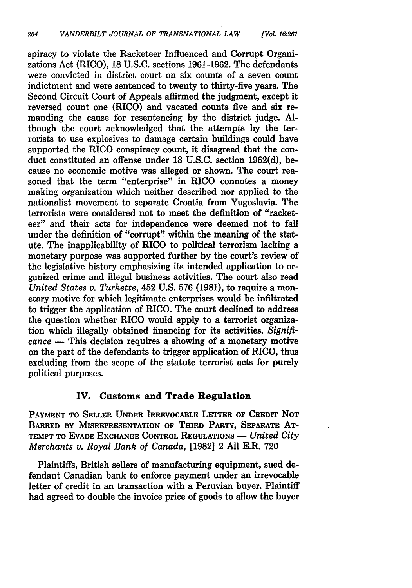spiracy to violate the Racketeer Influenced and Corrupt Organizations Act (RICO), 18 U.S.C. sections 1961-1962. The defendants were convicted in district court on six counts of a seven count indictment and were sentenced to twenty to thirty-five years. The Second Circuit Court of Appeals affirmed the judgment, except it reversed count one (RICO) and vacated counts five and six remanding the cause for resentencing by the district judge. Although the court acknowledged that the attempts by the terrorists to use explosives to damage certain buildings could have supported the RICO conspiracy count, it disagreed that the conduct constituted an offense under 18 U.S.C. section 1962(d), because no economic motive was alleged or shown. The court reasoned that the term "enterprise" in RICO connotes a money making organization which neither described nor applied to the nationalist movement to separate Croatia from Yugoslavia. The terrorists were considered not to meet the definition of "racketeer" and their acts for independence were deemed not to fall under the definition of "corrupt" within the meaning of the statute. The inapplicability of RICO to political terrorism lacking a monetary purpose was supported further by the court's review of the legislative history emphasizing its intended application to organized crime and illegal business activities. The court also read *United States v. Turkette,* 452 U.S. 576 (1981), to require a monetary motive for which legitimate enterprises would be infiltrated to trigger the application of RICO. The court declined to address the question whether RICO would apply to a terrorist organization which illegally obtained financing for its activities. *Significance* **-** This decision requires a showing of a monetary motive on the part of the defendants to trigger application of RICO, thus excluding from the scope of the statute terrorist acts for purely political purposes.

### **IV.** Customs **and Trade Regulation**

PAYMENT TO SELLER **UNDER** IRREVOCABLE LETTER OF CREDIT **NOT** BARRED BY MISREPRESENTATION OF THIRD **PARTY, SEPARATE AT-**TEMPT TO **EVADE EXCHANGE** CONTROL **REGULATIONS** - *United City Merchants v. Royal Bank of Canada,* **[1982]** 2 **All** E.R. **720**

Plaintiffs, British sellers of manufacturing equipment, sued defendant Canadian bank to enforce payment under an irrevocable letter of credit in an transaction with a Peruvian buyer. Plaintiff had agreed to double the invoice price of goods to allow the buyer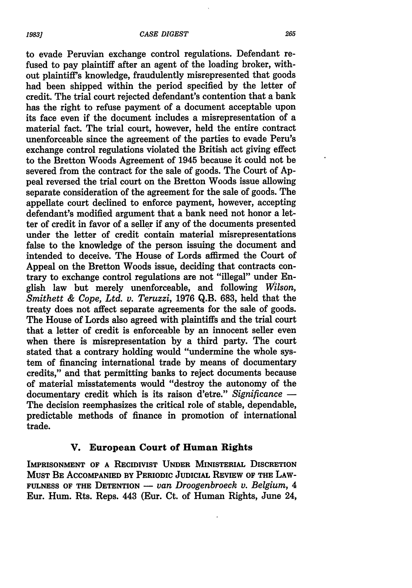#### *CASE DIGEST*

to evade Peruvian exchange control regulations. Defendant refused to pay plaintiff after an agent of the loading broker, without plaintiff's knowledge, fraudulently misrepresented that goods had been shipped within the period specified **by** the letter of credit. The trial court rejected defendant's contention that a bank has the right to refuse payment of a document acceptable upon its face even if the document includes a misrepresentation of a material fact. The trial court, however, held the entire contract unenforceable since the agreement of the parties to evade Peru's exchange control regulations violated the British act giving effect to the Bretton Woods Agreement of 1945 because it could not be severed from the contract for the sale of goods. The Court of **Ap**peal reversed the trial court on the Bretton Woods issue allowing separate consideration of the agreement for the sale of goods. The appellate court declined to enforce payment, however, accepting defendant's modified argument that a bank need not honor a letter of credit in favor of a seller if any of the documents presented under the letter of credit contain material misrepresentations false to the knowledge of the person issuing the document and intended to deceive. The House of Lords affirmed the Court of Appeal on the Bretton Woods issue, deciding that contracts contrary to exchange control regulations are not "illegal" under English law but merely unenforceable, and following *Wilson, Smithett & Cope, Ltd. v. Teruzzi,* **1976 Q.B. 683,** held that the treaty does not affect separate agreements for the sale of goods. The House of Lords also agreed with plaintiffs and the trial court that a letter of credit is enforceable **by** an innocent seller even when there is misrepresentation **by** a third party. The court stated that a contrary holding would "undermine the whole system of financing international trade **by** means of documentary credits," and that permitting banks to reject documents because of material misstatements would "destroy the autonomy of the documentary credit which is its raison d'etre." *Significance* **-** The decision reemphasizes the critical role of stable, dependable, predictable methods of finance in promotion of international trade.

#### **V. European Court of Human Rights**

**IMPRISONMENT OF A RECIDIVIST UNDER MINISTERIAL DISCRETION MUST BE ACCOMPANIED BY PERIODIC JUDICIAL REvIEw OF THE LAW-**FULNESS OF THE DETENTION - *van Droogenbroeck v. Belgium,* 4 Eur. Hum. Rts. Reps. 443 (Eur. Ct. **of Human** Rights, June 24,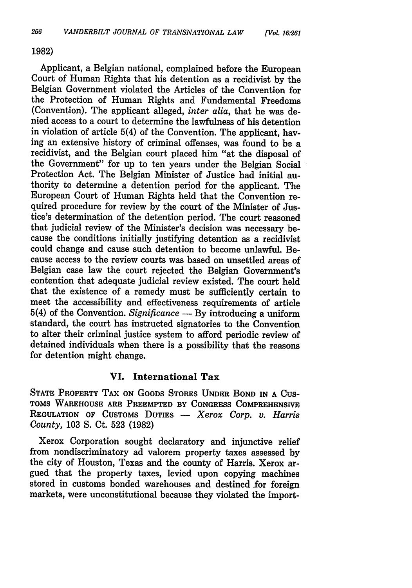#### **1982)**

Applicant, a Belgian national, complained before the European Court of Human Rights that his detention as a recidivist by the Belgian Government violated the Articles of the Convention for the Protection of Human Rights and Fundamental Freedoms (Convention). The applicant alleged, *inter alia,* that he was denied access to a court to determine the lawfulness of his detention in violation of article 5(4) of the Convention. The applicant, having an extensive history of criminal offenses, was found to be a recidivist, and the Belgian court placed him "at the disposal of the Government" for up to ten years under the Belgian Social Protection Act. The Belgian Minister of Justice had initial authority to determine a detention period for the applicant. The European Court of Human Rights held that the Convention required procedure for review by the court of the Minister of Justice's determination of the detention period. The court reasoned that judicial review of the Minister's decision was necessary because the conditions initially justifying detention as a recidivist could change and cause such detention to become unlawful. Because access to the review courts was based on unsettled areas of Belgian case law the court rejected the Belgian Government's contention that adequate judicial review existed. The court held that the existence of a remedy must be sufficiently certain to meet the accessibility and effectiveness requirements of article 5(4) of the Convention. *Significance* **- By** introducing a uniform standard, the court has instructed signatories to the Convention to alter their criminal justice system to afford periodic review of detained individuals when there is a possibility that the reasons for detention might change.

#### **VI. International Tax**

**STATE** PROPERTY TAX **ON GOODS** STORES **UNDER BOND IN A CUS-TOMS WAREHOUSE** ARE PREEMPTED BY **CONGRESS COMPREHENSIVE REGULATION** OF CUSTOMS **DUTIES** - *Xerox Corp. v. Harris County,* **103 S.** Ct. **523 (1982)**

Xerox Corporation sought declaratory and injunctive relief from nondiscriminatory ad valorem property taxes assessed by the city of Houston, Texas and the county of Harris. Xerox argued that the property taxes, levied upon copying machines stored in customs bonded warehouses and destined for foreign markets, were unconstitutional because they violated the import-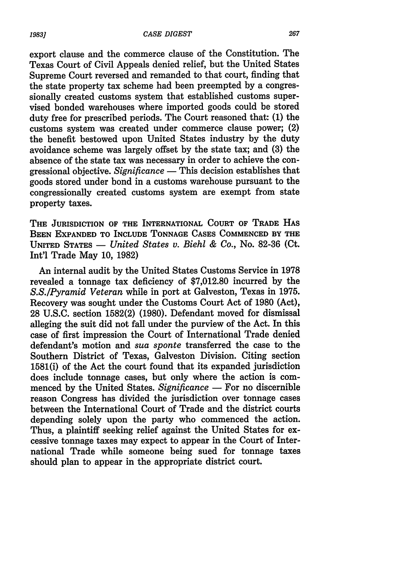export clause and the commerce clause of the Constitution. The Texas Court of Civil Appeals denied relief, but the United States Supreme Court reversed and remanded to that court, finding that the state property tax scheme had been preempted by a congressionally created customs system that established customs supervised bonded warehouses where imported goods could be stored duty free for prescribed periods. The Court reasoned that: (1) the customs system was created under commerce clause power; (2) the benefit bestowed upon United States industry by the duty avoidance scheme was largely offset by the state tax; and (3) the absence of the state tax was necessary in order to achieve the congressional objective. *Significance* - This decision establishes that goods stored under bond in a customs warehouse pursuant to the congressionally created customs system are exempt from state property taxes.

**THE JURISDICTION OF THE INTERNATIONAL COURT OF TRADE HAS BEEN EXPANDED TO INCLUDE TONNAGE CASES COMMENCED BY THE UNITED STATES -** *United States v. Biehl & Co.,* No. 82-36 (Ct. Int'l Trade May 10, 1982)

An internal audit by the United States Customs Service in 1978 revealed a tonnage tax deficiency of \$7,012.80 incurred by the *S.S./Pyramid Veteran* while in port at Galveston, Texas in 1975. Recovery was sought under the Customs Court Act of 1980 (Act), 28 U.S.C. section 1582(2) (1980). Defendant moved for dismissal alleging the suit did not fall under the purview of the Act. In this case of first impression the Court of International Trade denied defendant's motion and *sua sponte* transferred the case to the Southern District of Texas, Galveston Division. Citing section 1581(i) of the Act the court found that its expanded jurisdiction does include tonnage cases, but only where the action is commenced by the United States. *Significance* **-** For no discernible reason Congress has divided the jurisdiction over tonnage cases between the International Court of Trade and the district courts depending solely upon the party who commenced the action. Thus, a plaintiff seeking relief against the United States for excessive tonnage taxes may expect to appear in the Court of International Trade while someone being sued for tonnage taxes should plan to appear in the appropriate district court.